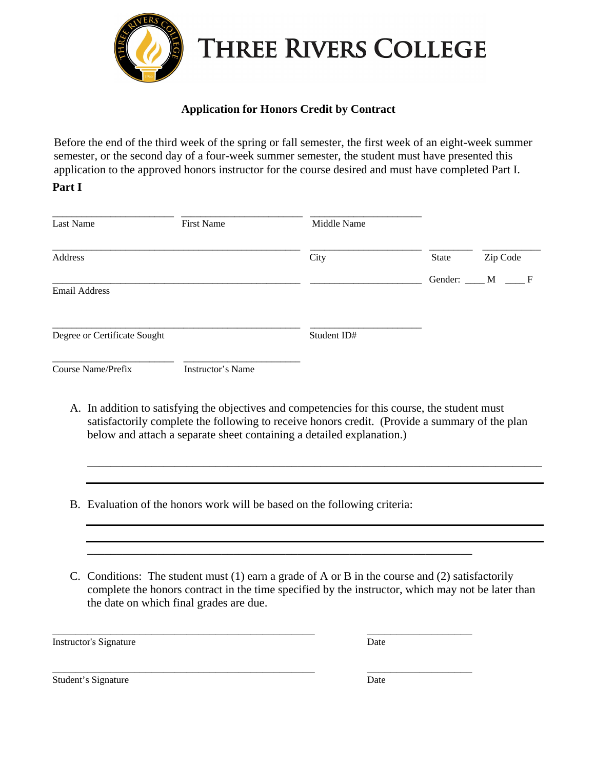

## **Application for Honors Credit by Contract**

Before the end of the third week of the spring or fall semester, the first week of an eight-week summer semester, or the second day of a four-week summer semester, the student must have presented this application to the approved honors instructor for the course desired and must have completed Part I.

## **Part I**

| Last Name                    | <b>First Name</b>        | Middle Name |              |                       |
|------------------------------|--------------------------|-------------|--------------|-----------------------|
| Address                      |                          | City        | <b>State</b> | Zip Code              |
| <b>Email Address</b>         |                          |             |              | Gender: ____ M ____ F |
| Degree or Certificate Sought |                          | Student ID# |              |                       |
| <b>Course Name/Prefix</b>    | <b>Instructor's Name</b> |             |              |                       |

A. In addition to satisfying the objectives and competencies for this course, the student must satisfactorily complete the following to receive honors credit. (Provide a summary of the plan below and attach a separate sheet containing a detailed explanation.)

\_\_\_\_\_\_\_\_\_\_\_\_\_\_\_\_\_\_\_\_\_\_\_\_\_\_\_\_\_\_\_\_\_\_\_\_\_\_\_\_\_\_\_\_\_\_\_\_\_\_\_\_\_\_\_\_\_\_\_\_\_\_\_\_\_\_\_\_\_\_\_\_\_\_\_\_\_\_

- B. Evaluation of the honors work will be based on the following criteria:
- C. Conditions: The student must (1) earn a grade of A or B in the course and (2) satisfactorily complete the honors contract in the time specified by the instructor, which may not be later than the date on which final grades are due.

\_\_\_\_\_\_\_\_\_\_\_\_\_\_\_\_\_\_\_\_\_\_\_\_\_\_\_\_\_\_\_\_\_\_\_\_\_\_\_\_\_\_\_\_\_\_\_\_\_\_\_\_\_\_\_\_\_\_\_\_\_\_\_\_\_\_

\_\_\_\_\_\_\_\_\_\_\_\_\_\_\_\_\_\_\_\_\_\_\_\_\_\_\_\_\_\_\_\_\_\_\_\_\_\_\_\_\_\_\_\_\_ \_\_\_\_\_\_\_\_\_\_\_\_\_\_\_\_\_\_

Instructor's Signature Date

\_\_\_\_\_\_\_\_\_\_\_\_\_\_\_\_\_\_\_\_\_\_\_\_\_\_\_\_\_\_\_\_\_\_\_\_\_\_\_\_\_\_\_\_\_ \_\_\_\_\_\_\_\_\_\_\_\_\_\_\_\_\_\_

Student's Signature Date